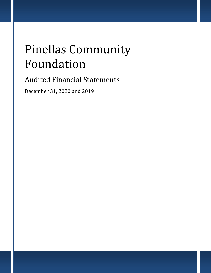# Pinellas Community Foundation

2232 Page Rd. Suite 101 Durham, NC 27703 1301 66th Street North St. Petersburg, FL 33710 Phone (919) 598-1120 5201 W Kennedy Blvd Suite 620 Tampa, FL 33609

WWW.FRSCPA.COM in the company of the company of the company of the company of the company of the company of the

Audited Financial Statements

December 31, 2020 and 2019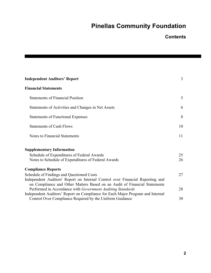# **Pinellas Community Foundation**

### **Contents**

| <b>Independent Auditors' Report</b>                                                                                                     | 3  |
|-----------------------------------------------------------------------------------------------------------------------------------------|----|
| <b>Financial Statements</b>                                                                                                             |    |
| <b>Statements of Financial Position</b>                                                                                                 | 5  |
| Statements of Activities and Changes in Net Assets                                                                                      | 6  |
| <b>Statements of Functional Expenses</b>                                                                                                | 8  |
| <b>Statements of Cash Flows</b>                                                                                                         | 10 |
| <b>Notes to Financial Statements</b>                                                                                                    | 11 |
| <b>Supplementary Information</b>                                                                                                        |    |
| Schedule of Expenditures of Federal Awards                                                                                              | 25 |
| Notes to Schedule of Expenditures of Federal Awards                                                                                     | 26 |
| <b>Compliance Reports</b>                                                                                                               |    |
| Schedule of Findings and Questioned Costs                                                                                               | 27 |
| Independent Auditors' Report on Internal Control over Financial Reporting and                                                           |    |
| on Compliance and Other Matters Based on an Audit of Financial Statements<br>Performed in Accordance with Government Auditing Standards | 28 |
| Independent Auditors' Report on Compliance for Each Major Program and Internal                                                          |    |
| Control Over Compliance Required by the Uniform Guidance                                                                                | 30 |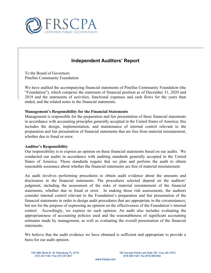

### **Independent Auditors' Report**

To the Board of Governors Pinellas Community Foundation

We have audited the accompanying financial statements of Pinellas Community Foundation (the "Foundation"), which comprise the statement of financial position as of December 31, 2020 and 2019 and the statements of activities, functional expenses and cash flows for the years then ended, and the related notes to the financial statements.

#### **Management's Responsibility for the Financial Statements**

Management is responsible for the preparation and fair presentation of these financial statements in accordance with accounting principles generally accepted in the United States of America; this includes the design, implementation, and maintenance of internal control relevant to the preparation and fair presentation of financial statements that are free from material misstatement, whether due to fraud or error.

#### **Auditor's Responsibility**

Our responsibility is to express an opinion on these financial statements based on our audits. We conducted our audits in accordance with auditing standards generally accepted in the United States of America. Those standards require that we plan and perform the audit to obtain reasonable assurance about whether the financial statements are free of material misstatement.

An audit involves performing procedures to obtain audit evidence about the amounts and disclosures in the financial statements. The procedures selected depend on the auditors' judgment, including the assessment of the risks of material misstatement of the financial statements, whether due to fraud or error. In making those risk assessments, the auditors consider internal control relevant to the Foundation's preparation and fair presentation of the financial statements in order to design audit procedures that are appropriate in the circumstances, but not for the purpose of expressing an opinion on the effectiveness of the Foundation's internal control. Accordingly, we express no such opinion. An audit also includes evaluating the appropriateness of accounting policies used and the reasonableness of significant accounting estimates made by management, as well as evaluating the overall presentation of the financial statements.

We believe that the audit evidence we have obtained is sufficient and appropriate to provide a basis for our audit opinion.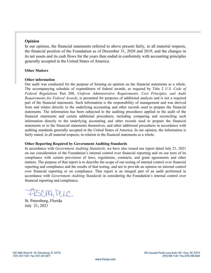#### **Opinion**

In our opinion, the financial statements referred to above present fairly, in all material respects, the financial position of the Foundation as of December 31, 2020 and 2019, and the changes in its net assets and its cash flows for the years then ended in conformity with accounting principles generally accepted in the United States of America.

#### **Other Matters**

#### **Other information**

Our audit was conducted for the purpose of forming an opinion on the financial statements as a whole. The accompanying schedule of expenditures of federal awards, as required by Title 2 *U.S. Code of Federal Regulations* Part 200, *Uniform Administrative Requirements, Cost Principles, and Audit Requirements for Federal Awards*, is presented for purposes of additional analysis and is not a required part of the financial statements. Such information is the responsibility of management and was derived from and relates directly to the underlying accounting and other records used to prepare the financial statements. The information has been subjected to the auditing procedures applied in the audit of the financial statements and certain additional procedures, including comparing and reconciling such information directly to the underlying accounting and other records used to prepare the financial statements or to the financial statements themselves, and other additional procedures in accordance with auditing standards generally accepted in the United States of America. In our opinion, the information is fairly stated, in all material respects, in relation to the financial statements as a whole.

#### **Other Reporting Required by Government Auditing Standards**

In accordance with *Government Auditing Standards*, we have also issued our report dated July 21, 2021 on our consideration of the Foundation's internal control over financial reporting and on our tests of its compliance with certain provisions of laws, regulations, contracts, and grant agreements and other matters. The purpose of that report is to describe the scope of our testing of internal control over financial reporting and compliance and the results of that testing, and not to provide an opinion on internal control over financial reporting or on compliance. That report is an integral part of an audit performed in accordance with *Government Auditing Standards* in considering the Foundation's internal control over financial reporting and compliance.

PSCAA, PLLC

St. Petersburg, Florida July 21, 2021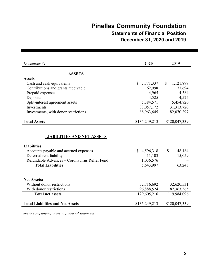# **Pinellas Community Foundation**

### **Statements of Financial Position December 31, 2020 and 2019**

| December 31,                                  | 2020                      | 2019                      |
|-----------------------------------------------|---------------------------|---------------------------|
|                                               |                           |                           |
| <b>ASSETS</b>                                 |                           |                           |
| <b>Assets</b>                                 |                           |                           |
| Cash and cash equivalents                     | 7,771,337<br>$\mathbb{S}$ | $\mathbb{S}$<br>1,121,899 |
| Contributions and grants receivable           | 62,998                    | 77,694                    |
| Prepaid expenses                              | 4,965                     | 4,384                     |
| Deposits                                      | 4,525                     | 4,525                     |
| Split-interest agreement assets               | 5,384,571                 | 5,454,820                 |
| Investments                                   | 33,057,172                | 31,313,720                |
| Investments, with donor restrictions          | 88,963,645                | 82,070,297                |
|                                               |                           |                           |
| <b>Total Assets</b>                           | \$135,249,213             | \$120,047,339             |
| <b>LIABILITIES AND NET ASSETS</b>             |                           |                           |
| <b>Liabilities</b>                            |                           |                           |
| Accounts payable and accrued expenses         | 4,596,318<br>S.           | \$<br>48,184              |
| Deferred rent liability                       | 11,103                    | 15,059                    |
| Refundable Advances - Coronavirus Relief Fund | 1,036,576                 |                           |
| <b>Total Liabilities</b>                      | 5,643,997                 | 63,243                    |
|                                               |                           |                           |
| <b>Net Assets:</b>                            |                           |                           |
| Without donor restrictions                    | 32,716,692                | 32,620,531                |
| With donor restrictions                       | 96,888,524                | 87,363,565                |
| <b>Total net assets</b>                       | 129,605,216               | 119,984,096               |
| <b>Total Liabilities and Net Assets</b>       | \$135,249,213             | \$120,047,339             |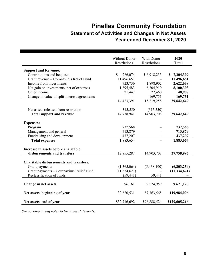# **Pinellas Community Foundation Statement of Activities and Changes in Net Assets Year ended December 31, 2020**

|                                                | <b>Without Donor</b><br>Restrictions | With Donor<br>Restrictions | 2020<br><b>Total</b> |
|------------------------------------------------|--------------------------------------|----------------------------|----------------------|
| <b>Support and Revenue:</b>                    |                                      |                            |                      |
| Contributions and bequests                     | $\mathbb{S}$<br>286,074              | \$6,918,235                | \$7,204,309          |
| Grant revenue - Coronavirus Relief Fund        | 11,496,651                           |                            | 11,496,651           |
| Income from investments                        | 723,736                              | 1,898,902                  | 2,622,638            |
| Net gain on investments, net of expenses       | 1,895,483                            | 6,204,910                  | 8,100,393            |
| Other income                                   | 21,447                               | 27,460                     | 48,907               |
| Change in value of split-interest agreements   |                                      | 169,751                    | 169,751              |
|                                                | 14,423,391                           | 15,219,258                 | 29,642,649           |
|                                                |                                      |                            |                      |
| Net assets released from restriction           | 315,550                              | (315,550)                  |                      |
| <b>Total support and revenue</b>               | 14,738,941                           | 14,903,708                 | 29,642,649           |
|                                                |                                      |                            |                      |
| <b>Expenses:</b>                               |                                      |                            |                      |
| Program                                        | 732,568                              |                            | 732,568              |
| Management and general                         | 713,879                              |                            | 713,879              |
| Fundraising and development                    | 437,207                              |                            | 437,207              |
| <b>Total expenses</b>                          | 1,883,654                            |                            | 1,883,654            |
| Increase in assets before charitable           |                                      |                            |                      |
| disbursements and transfers                    | 12,855,287                           | 14,903,708                 | 27,758,995           |
|                                                |                                      |                            |                      |
| <b>Charitable disbursements and transfers:</b> |                                      |                            |                      |
| Grant payments                                 | (1,365,064)                          | (5,438,190)                | (6,803,254)          |
| Grant payments - Coronavirus Relief Fund       | (11, 334, 621)                       |                            | (11, 334, 621)       |
| Reclassification of funds                      | (59, 441)                            | 59,441                     |                      |
|                                                |                                      |                            |                      |
| Change in net assets                           | 96,161                               | 9,524,959                  | 9,621,120            |
|                                                |                                      |                            |                      |
| Net assets, beginning of year                  | 32,620,531                           | 87, 363, 565               | 119,984,096          |
| Net assets, end of year                        | \$32,716,692                         | \$96,888,524               | \$129,605,216        |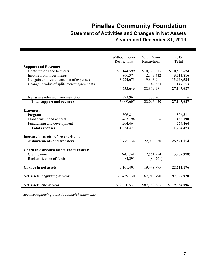# **Pinellas Community Foundation**

 **Statement of Activities and Changes in Net Assets Year ended December 31, 2019** 

|                                                | <b>Without Donor</b>    | With Donor   | 2019          |
|------------------------------------------------|-------------------------|--------------|---------------|
|                                                | Restrictions            | Restrictions | <b>Total</b>  |
| <b>Support and Revenue:</b>                    |                         |              |               |
| Contributions and bequests                     | $\mathbb{S}$<br>144,599 | \$10,729,075 | \$10,873,674  |
| Income from investments                        | 866,374                 | 2,149,442    | 3,015,816     |
| Net gain on investments, net of expenses       | 3,224,673               | 9,843,911    | 13,068,584    |
| Change in value of split-interest agreements   |                         | 147,553      | 147,553       |
|                                                | 4,235,646               | 22,869,981   | 27,105,627    |
| Net assets released from restriction           | 773,961                 | (773, 961)   |               |
| <b>Total support and revenue</b>               | 5,009,607               | 22,096,020   | 27,105,627    |
| <b>Expenses:</b>                               |                         |              |               |
| Program                                        | 506,811                 |              | 506,811       |
| Management and general                         | 463,198                 |              | 463,198       |
| Fundraising and development                    | 264,464                 |              | 264,464       |
| <b>Total expenses</b>                          | 1,234,473               |              | 1,234,473     |
|                                                |                         |              |               |
| Increase in assets before charitable           |                         |              |               |
| disbursements and transfers                    | 3,775,134               | 22,096,020   | 25,871,154    |
| <b>Charitable disbursements and transfers:</b> |                         |              |               |
| Grant payments                                 | (698, 024)              | (2,561,954)  | (3,259,978)   |
| Reclassification of funds                      | 84,291                  | (84,291)     |               |
|                                                |                         |              |               |
| Change in net assets                           | 3,161,401               | 19,449,775   | 22,611,176    |
| Net assets, beginning of year                  | 29,459,130              | 67,913,790   | 97,372,920    |
| Net assets, end of year                        | \$32,620,531            | \$87,363,565 | \$119,984,096 |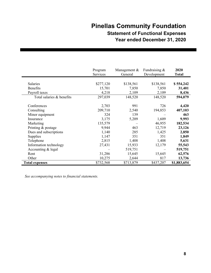## **Pinellas Community Foundation Statement of Functional Expenses Year ended December 31, 2020**

|                           | Program<br>Services | Management &<br>General | Fundraising &<br>Development | 2020<br><b>Total</b> |
|---------------------------|---------------------|-------------------------|------------------------------|----------------------|
|                           |                     |                         |                              |                      |
| <b>Salaries</b>           | \$277,120           | \$138,561               | \$138,561                    | \$554,242            |
| Benefits                  | 15,701              | 7,850                   | 7,850                        | 31,401               |
| Payroll taxes             | 4,218               | 2,109                   | 2,109                        | 8,436                |
| Total salaries & benefits | 297,039             | 148,520                 | 148,520                      | 594,079              |
| Conferences               | 2,703               | 991                     | 726                          | 4,420                |
| Consulting                | 209,710             | 2,540                   | 194,853                      | 407,103              |
| Minor equipment           | 324                 | 139                     |                              | 463                  |
| Insurance                 | 3,175               | 5,209                   | 1,609                        | 9,993                |
| Marketing                 | 135,579             |                         | 46,955                       | 182,534              |
| Printing & postage        | 9,944               | 463                     | 12,719                       | 23,126               |
| Dues and subscriptions    | 1,140               | 285                     | 1,425                        | 2,850                |
| Supplies                  | 1,147               | 351                     | 351                          | 1,849                |
| Telephone                 | 2,815               | 1,408                   | 1,408                        | 5,631                |
| Information technology    | 27,431              | 15,933                  | 12,179                       | 55,543               |
| Accounting & legal        |                     | 519,751                 |                              | 519,751              |
| Rent                      | 31,286              | 15,645                  | 15,645                       | 62,576               |
| Other                     | 10,275              | 2,644                   | 817                          | 13,736               |
| <b>Total expenses</b>     | \$732,568           | \$713,879               | \$437,207                    | \$1,883,654          |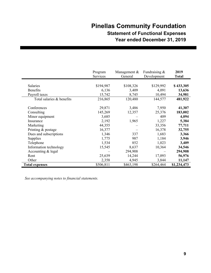## **Pinellas Community Foundation Statement of Functional Expenses Year ended December 31, 2019**

|                           | Program<br>Services | Management &<br>General | Fundraising &<br>Development | 2019<br><b>Total</b> |
|---------------------------|---------------------|-------------------------|------------------------------|----------------------|
|                           |                     |                         |                              |                      |
| <b>Salaries</b>           | \$194,987           | \$108,326               | \$129,992                    | \$433,305            |
| <b>Benefits</b>           | 6,136               | 3,409                   | 4,091                        | 13,636               |
| Payroll taxes             | 15,742              | 8,745                   | 10,494                       | 34,981               |
| Total salaries & benefits | 216,865             | 120,480                 | 144,577                      | 481,922              |
| Conferences               | 29,871              | 3,486                   | 7,950                        | 41,307               |
| Consulting                | 145,269             | 12,357                  | 25,376                       | 183,002              |
| Minor equipment           | 3,685               |                         | 409                          | 4,094                |
| Insurance                 | 2,192               | 1,965                   | 1,227                        | 5,384                |
| Marketing                 | 44,355              |                         | 33,356                       | 77,711               |
| Printing & postage        | 16,377              |                         | 16,378                       | 32,755               |
| Dues and subscriptions    | 1,346               | 337                     | 1,683                        | 3,366                |
| Supplies                  | 1,775               | 987                     | 1,184                        | 3,946                |
| Telephone                 | 1,534               | 852                     | 1,023                        | 3,409                |
| Information technology    | 15,545              | 8,637                   | 10,364                       | 34,546               |
| Accounting & legal        |                     | 294,908                 |                              | 294,908              |
| Rent                      | 25,639              | 14,244                  | 17,093                       | 56,976               |
| Other                     | 2,358               | 4,945                   | 3,844                        | 11,147               |
| <b>Total expenses</b>     | \$506,811           | \$463,198               | \$264,464                    | \$1,234,473          |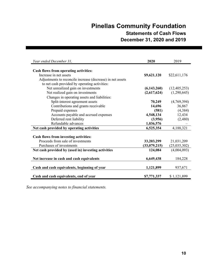# **Pinellas Community Foundation**

**Statements of Cash Flows December 31, 2020 and 2019** 

| Year ended December 31,                                    | 2020         | 2019           |
|------------------------------------------------------------|--------------|----------------|
|                                                            |              |                |
| Cash flows from operating activities:                      |              |                |
| Increase in net assets                                     | \$9,621,120  | \$22,611,176   |
| Adjustments to reconcile increase (decrease) in net assets |              |                |
| to net cash provided by operating activities:              |              |                |
| Net unrealized gain on investments                         | (6,143,260)  | (12, 405, 253) |
| Net realized gain on investments                           | (2,617,624)  | (1,290,645)    |
| Changes in operating assets and liabilities:               |              |                |
| Split-interest agreement assets                            | 70,249       | (4,769,394)    |
| Contributions and grants receivable                        | 14,696       | 36,867         |
| Prepaid expenses                                           | (581)        | (4,384)        |
| Accounts payable and accrued expenses                      | 4,548,134    | 12,434         |
| Deferred rent liability                                    | (3,956)      | (2,480)        |
| Refundable advances                                        | 1,036,576    |                |
| Net cash provided by operating activities                  | 6,525,354    | 4,188,321      |
|                                                            |              |                |
| Cash flows from investing activities:                      |              |                |
| Proceeds from sale of investments                          | 33,203,299   | 21,031,209     |
| Purchases of investments                                   | (33,079,215) | (25, 035, 302) |
| Net cash provided by (used in) investing activities        | 124,084      | (4,004,093)    |
| Net increase in cash and cash equivalents                  | 6,649,438    | 184,228        |
|                                                            |              |                |
| Cash and cash equivalents, beginning of year               | 1,121,899    | 937,671        |
| Cash and cash equivalents, end of year                     | \$7,771,337  | \$1,121,899    |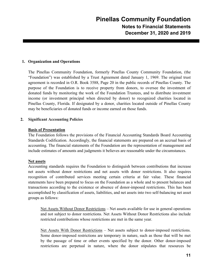#### **1. Organization and Operations**

The Pinellas Community Foundation, formerly Pinellas County Community Foundation, (the "Foundation") was established by a Trust Agreement dated January 1, 1969. The original trust agreement is recorded in O.R. Book 3588, Page 20 in the public records of Pinellas County. The purpose of the Foundation is to receive property from donors, to oversee the investment of donated funds by monitoring the work of the Foundation Trustees, and to distribute investment income (or investment principal when directed by donor) to recognized charities located in Pinellas County, Florida. If designated by a donor, charities located outside of Pinellas County may be beneficiaries of donated funds or income earned on those funds.

#### **2. Significant Accounting Policies**

#### **Basis of Presentation**

The Foundation follows the provisions of the Financial Accounting Standards Board Accounting Standards Codification. Accordingly, the financial statements are prepared on an accrual basis of accounting. The financial statements of the Foundation are the representation of management and include estimates of amounts and judgments it believes are reasonable under the circumstances.

#### **Net assets**

Accounting standards requires the Foundation to distinguish between contributions that increase net assets without donor restrictions and net assets with donor restrictions. It also requires recognition of contributed services meeting certain criteria at fair value. These financial statements have been prepared to focus on the Foundation as a whole and to present balances and transactions according to the existence or absence of donor-imposed restrictions. This has been accomplished by classification of assets, liabilities, and net assets into two self-balancing net asset groups as follows:

Net Assets Without Donor Restrictions – Net assets available for use in general operations and not subject to donor restrictions. Net Assets Without Donor Restrictions also include restricted contributions whose restrictions are met in the same year.

Net Assets With Donor Restrictions – Net assets subject to donor-imposed restrictions. Some donor-imposed restrictions are temporary in nature, such as those that will be met by the passage of time or other events specified by the donor. Other donor-imposed restrictions are perpetual in nature, where the donor stipulates that resources be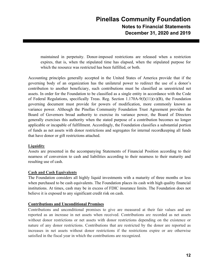maintained in perpetuity. Donor-imposed restrictions are released when a restriction expires, that is, when the stipulated time has elapsed, when the stipulated purpose for which the resource was restricted has been fulfilled, or both.

Accounting principles generally accepted in the United States of America provide that if the governing body of an organization has the unilateral power to redirect the use of a donor's contribution to another beneficiary, such contributions must be classified as unrestricted net assets. In order for the Foundation to be classified as a single entity in accordance with the Code of Federal Regulations, specifically Treas. Reg. Section  $1.170A-9(f)(11)(v)(B)$ , the Foundation governing document must provide for powers of modification, more commonly known as variance power. Although the Pinellas Community Foundation Trust Agreement provides the Board of Governors broad authority to exercise its variance power, the Board of Directors generally exercises this authority when the stated purpose of a contribution becomes no longer applicable or incapable of fulfillment. Accordingly, the Foundation classifies a substantial portion of funds as net assets with donor restrictions and segregates for internal recordkeeping all funds that have donor or gift restrictions attached.

#### **Liquidity**

Assets are presented in the accompanying Statements of Financial Position according to their nearness of conversion to cash and liabilities according to their nearness to their maturity and resulting use of cash.

#### **Cash and Cash Equivalents**

The Foundation considers all highly liquid investments with a maturity of three months or less when purchased to be cash equivalents. The Foundation places its cash with high quality financial institutions. At times, cash may be in excess of FDIC insurance limits. The Foundation does not believe it is exposed to any significant credit risk on cash.

#### **Contributions and Unconditional Promises**

Contributions and unconditional promises to give are measured at their fair values and are reported as an increase in net assets when received. Contributions are recorded as net assets without donor restrictions or net assets with donor restrictions depending on the existence or nature of any donor restrictions. Contributions that are restricted by the donor are reported as increases in net assets without donor restrictions if the restrictions expire or are otherwise satisfied in the fiscal year in which the contributions are recognized.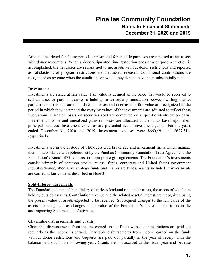Amounts restricted for future periods or restricted for specific purposes are reported as net assets with donor restrictions. When a donor-stipulated time restriction ends or a purpose restriction is accomplished, the net assets are reclassified to net assets without donor restrictions and reported as satisfactions of program restrictions and net assets released. Conditional contributions are recognized as revenue when the conditions on which they depend have been substantially met.

#### **Investments**

Investments are stated at fair value. Fair value is defined as the price that would be received to sell an asset or paid to transfer a liability in an orderly transaction between willing market participants at the measurement date. Increases and decreases in fair value are recognized in the period in which they occur and the carrying values of the investments are adjusted to reflect these fluctuations. Gains or losses on securities sold are computed on a specific identification basis. Investment income and unrealized gains or losses are allocated to the funds based upon their principal balances. Investment expenses are presented net of investment gains. For the years ended December 31, 2020 and 2019, investment expenses were \$660,491 and \$627,314, respectively.

Investments are in the custody of SEC-registered brokerage and investment firms which manage them in accordance with policies set by the Pinellas Community Foundation Trust Agreement, the Foundation's Board of Governors, or appropriate gift agreements. The Foundation's investments consist primarily of common stocks, mutual funds, corporate and United States government securities/bonds, alternative strategy funds and real estate funds. Assets included in investments are carried at fair value as described in Note 3.

#### **Split-Interest agreements**

The Foundation is named beneficiary of various lead and remainder trusts, the assets of which are held by outside trustees. Contribution revenue and the related assets' interest are recognized using the present value of assets expected to be received. Subsequent changes to the fair value of the assets are recognized as changes in the value of the Foundation's interest in the trusts in the accompanying Statements of Activities.

#### **Charitable disbursements and grants**

Charitable disbursements from income earned on the funds with donor restrictions are paid out regularly as the income is earned. Charitable disbursements from income earned on the funds without donor restrictions and bequests are paid out partially in the year of receipt with the balance paid out in the following year. Grants are not accrued at the fiscal year end because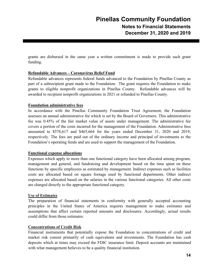grants are disbursed in the same year a written commitment is made to provide such grant funding.

#### **Refundable Advances – Coronavirus Relief Fund**

Refundable advances represents federal funds advanced to the Foundation by Pinellas County as part of a subrecipient grant made to the Foundation. The grant requires the Foundation to make grants to eligible nonprofit organizations in Pinellas County. Refundable advances will be awarded to recipient nonprofit organizations in 2021 or refunded to Pinellas County.

#### **Foundation administrative fees**

In accordance with the Pinellas Community Foundation Trust Agreement, the Foundation assesses an annual administrative fee which is set by the Board of Governors. This administrative fee was 0.45% of the fair market value of assets under management. The administrative fee covers a portion of the costs incurred for the management of the Foundation. Administrative fees amounted to \$578,617 and \$465,664 for the years ended December 31, 2020 and 2019, respectively. The fees are paid out of the ordinary income and principal of investments to the Foundation's operating funds and are used to support the management of the Foundation.

#### **Functional expense allocations**

Expenses which apply to more than one functional category have been allocated among program, management and general, and fundraising and development based on the time spent on these functions by specific employees as estimated by management. Indirect expenses such as facilities costs are allocated based on square footage used by functional departments. Other indirect expenses are allocated based on the salaries in the various functional categories. All other costs are charged directly to the appropriate functional category.

#### **Use of Estimates**

The preparation of financial statements in conformity with generally accepted accounting principles in the United States of America requires management to make estimates and assumptions that affect certain reported amounts and disclosures. Accordingly, actual results could differ from those estimates.

#### **Concentrations of Credit Risk**

Financial instruments that potentially expose the Foundation to concentrations of credit and market risk consist primarily of cash equivalents and investments. The Foundation has cash deposits which at times may exceed the FDIC insurance limit. Deposit accounts are maintained with what management believes to be a quality financial institution.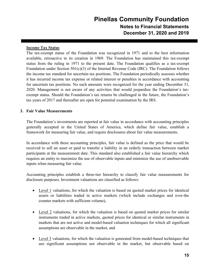#### **Income Tax Status**

The tax-exempt status of the Foundation was recognized in 1971 and to the best information available, retroactive to its creation in 1969. The Foundation has maintained this tax-exempt status from the ruling in 1971 to the present date. The Foundation qualifies as a tax-exempt Foundation under Section 501(c)(3) of the Internal Revenue Code (IRC). The Foundation follows the income tax standard for uncertain tax positions. The Foundation periodically assesses whether it has incurred income tax expense or related interest or penalties in accordance with accounting for uncertain tax positions. No such amounts were recognized for the year ending December 31, 2020. Management is not aware of any activities that would jeopardize the Foundation's taxexempt status. Should the Foundation's tax returns be challenged in the future, the Foundation's tax years of 2017 and thereafter are open for potential examination by the IRS.

#### **3. Fair Value Measurements**

The Foundation's investments are reported at fair value in accordance with accounting principles generally accepted in the United States of America, which define fair value, establish a framework for measuring fair value, and require disclosures about fair value measurements.

In accordance with these accounting principles, fair value is defined as the price that would be received to sell an asset or paid to transfer a liability in an orderly transaction between market participants at the measurement date. This standard also established a fair value hierarchy which requires an entity to maximize the use of observable inputs and minimize the use of unobservable inputs when measuring fair value.

Accounting principles establish a three-tier hierarchy to classify fair value measurements for disclosure purposes. Investment valuations are classified as follows:

- Level 1 valuations, for which the valuation is based on quoted market prices for identical assets or liabilities traded in active markets (which include exchanges and over-the counter markets with sufficient volume),
- Level 2 valuations, for which the valuation is based on quoted market prices for similar instruments traded in active markets, quoted prices for identical or similar instruments in markets that are not active and model-based valuation techniques for which all significant assumptions are observable in the market, and
- Level 3 valuations, for which the valuation is generated from model-based techniques that use significant assumptions not observable in the market, but observable based on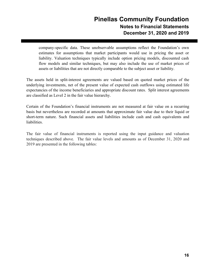company-specific data. These unobservable assumptions reflect the Foundation's own estimates for assumptions that market participants would use in pricing the asset or liability. Valuation techniques typically include option pricing models, discounted cash flow models and similar techniques, but may also include the use of market prices of assets or liabilities that are not directly comparable to the subject asset or liability.

The assets held in split-interest agreements are valued based on quoted market prices of the underlying investments, net of the present value of expected cash outflows using estimated life expectancies of the income beneficiaries and appropriate discount rates. Split interest agreements are classified as Level 2 in the fair value hierarchy.

Certain of the Foundation's financial instruments are not measured at fair value on a recurring basis but nevertheless are recorded at amounts that approximate fair value due to their liquid or short-term nature. Such financial assets and liabilities include cash and cash equivalents and liabilities.

The fair value of financial instruments is reported using the input guidance and valuation techniques described above. The fair value levels and amounts as of December 31, 2020 and 2019 are presented in the following tables: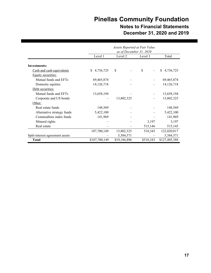|                                 |                 | Assets Reported at Fair Value<br>as of December 31, 2020 |           |               |
|---------------------------------|-----------------|----------------------------------------------------------|-----------|---------------|
|                                 | Level 1         | Level 2                                                  | Level 3   | Total         |
| <b>Investments:</b>             |                 |                                                          |           |               |
| Cash and cash equivalents       | 4,736,725<br>S. | \$                                                       | \$        | \$4,736,725   |
| <b>Equity securities:</b>       |                 |                                                          |           |               |
| Mutual funds and EFTs           | 69,465,874      |                                                          |           | 69,465,874    |
| Domestic equities               | 14, 126, 718    |                                                          |           | 14, 126, 718  |
| Debt securities:                |                 |                                                          |           |               |
| Mutual funds and EFTs           | 13,658,194      |                                                          |           | 13,658,194    |
| Corporate and US bonds          |                 | 13,802,325                                               |           | 13,802,325    |
| Other:                          |                 |                                                          |           |               |
| Real estate funds               | 148,569         |                                                          |           | 148,569       |
| Alternative strategy funds      | 5,422,100       |                                                          |           | 5,422,100     |
| Commodities index funds         | 141,969         |                                                          |           | 141,969       |
| Mineral rights                  |                 |                                                          | 3,197     | 3,197         |
| Real estate                     |                 |                                                          | 515,146   | 515,145       |
|                                 | 107,700,149     | 13,802,325                                               | 518,343   | 122,020,817   |
| Split-interest agreement assets |                 | 5,384,571                                                |           | 5,384,571     |
| Total                           | \$107,700,149   | \$19,186,896                                             | \$518,343 | \$127,405,388 |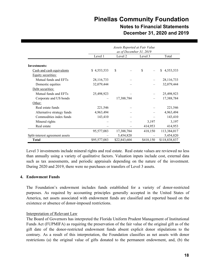|                                 |              | Assets Reported at Fair Value<br>as of December 31, 2019 |           |               |
|---------------------------------|--------------|----------------------------------------------------------|-----------|---------------|
|                                 | Level 1      | Level 2                                                  | Level 3   | Total         |
| <b>Investments:</b>             |              |                                                          |           |               |
| Cash and cash equivalents       | \$4,553,533  | \$                                                       | \$        | \$4,553,533   |
| <b>Equity securities:</b>       |              |                                                          |           |               |
| Mutual funds and EFTs           | 28,116,733   |                                                          |           | 28,116,733    |
| Domestic equities               | 32,079,444   |                                                          |           | 32,079,444    |
| Debt securities:                |              |                                                          |           |               |
| Mutual funds and EFTs           | 25,498,923   |                                                          |           | 25,498,923    |
| Corporate and US bonds          |              | 17,388,784                                               |           | 17,388,784    |
| Other:                          |              |                                                          |           |               |
| Real estate funds               | 221,546      |                                                          |           | 221,546       |
| Alternative strategy funds      | 4,963,494    |                                                          |           | 4,963,494     |
| Commodities index funds         | 143,410      |                                                          |           | 143,410       |
| Mineral rights                  |              |                                                          | 3,197     | 3,197         |
| Real estate                     |              |                                                          | 414,953   | 414,953       |
|                                 | 95,577,083   | 17,388,784                                               | 418,150   | 113,384,017   |
| Split-interest agreement assets |              | 5,454,820                                                |           | 5,454,820     |
| Total                           | \$95,577,083 | \$22,843,604                                             | \$418,150 | \$118,838,837 |

Level 3 investments include mineral rights and real estate. Real estate values are reviewed no less than annually using a variety of qualitative factors. Valuation inputs include cost, external data such as tax assessments, and periodic appraisals depending on the nature of the investment. During 2020 and 2019, there were no purchases or transfers of Level 3 assets.

#### **4. Endowment Funds**

The Foundation's endowment includes funds established for a variety of donor-restricted purposes. As required by accounting principles generally accepted in the United States of America, net assets associated with endowment funds are classified and reported based on the existence or absence of donor-imposed restrictions.

#### Interpretation of Relevant Law

The Board of Governors has interpreted the Florida Uniform Prudent Management of Institutional Funds Act (FUPMIFA) as requiring the preservation of the fair value of the original gift as of the gift date of the donor-restricted endowment funds absent explicit donor stipulations to the contrary. As a result of this interpretation, the Foundation classifies as net assets with donor restrictions (a) the original value of gifts donated to the permanent endowment, and, (b) the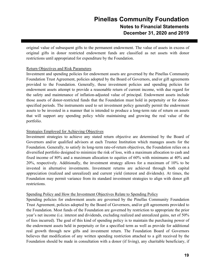original value of subsequent gifts to the permanent endowment. The value of assets in excess of original gifts in donor restricted endowment funds are classified as net assets with donor restrictions until appropriated for expenditure by the Foundation.

#### Return Objectives and Risk Parameters

Investment and spending policies for endowment assets are governed by the Pinellas Community Foundation Trust Agreement, policies adopted by the Board of Governors, and/or gift agreements provided to the Foundation. Generally, these investment policies and spending policies for endowment assets attempt to provide a reasonable return of current income, with due regard for the safety and maintenance of inflation-adjusted value of principal. Endowment assets include those assets of donor-restricted funds that the Foundation must hold in perpetuity or for donorspecified periods. The instruments used to set investment policy generally permit the endowment assets to be invested in a manner that is intended to produce a long-term rate of return on assets that will support any spending policy while maintaining and growing the real value of the portfolio.

#### Strategies Employed for Achieving Objectives

Investment strategies to achieve any stated return objective are determined by the Board of Governors and/or qualified advisors at each Trustee Institution which manages assets for the Foundation. Generally, to satisfy its long-term rate-of-return objectives, the Foundation relies on a diversified portfolio designed to minimize the risk of loss, with a maximum allocation to cash and fixed income of 80% and a maximum allocation to equities of 60% with minimums at 40% and 20%, respectively. Additionally, the investment strategy allows for a maximum of 10% to be invested in alternative investments. Investment returns are achieved through both capital appreciation (realized and unrealized) and current yield (interest and dividends). At times, the Foundation may permit variance from its standard investment strategies to align with donor gift restrictions.

#### Spending Policy and How the Investment Objectives Relate to Spending Policy

Spending policies for endowment assets are governed by the Pinellas Community Foundation Trust Agreement, policies adopted by the Board of Governors, and/or gift agreements provided to the Foundation. Most funds of the Foundation are governed by restriction to appropriate the prior year's net income (i.e. interest and dividends, excluding realized and unrealized gains, net of 50% of fees incurred). The goal of this kind of spending policy is to maintain the purchasing power of the endowment assets held in perpetuity or for a specified term as well as provide for additional real growth through new gifts and investment return. The Foundation Board of Governors believes that modification of any written spending restriction attached to a gift received by the Foundation should be made in consultation with a donor (if living), any charitable beneficiary, if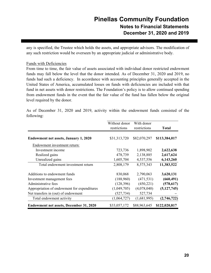any is specified, the Trustee which holds the assets, and appropriate advisors. The modification of any such restriction would be overseen by an appropriate judicial or administrative body.

#### Funds with Deficiencies

From time to time, the fair value of assets associated with individual donor restricted endowment funds may fall below the level that the donor intended. As of December 31, 2020 and 2019, no funds had such a deficiency. In accordance with accounting principles generally accepted in the United States of America, accumulated losses on funds with deficiencies are included with that fund in net assets with donor restrictions. The Foundation's policy is to allow continued spending from endowment funds in the event that the fair value of the fund has fallen below the original level required by the donor.

As of December 31, 2020 and 2019, activity within the endowment funds consisted of the following:

|                                                | Without donor<br>restrictions | With donor<br>restrictions | <b>Total</b>  |
|------------------------------------------------|-------------------------------|----------------------------|---------------|
| <b>Endowment net assets, January 1, 2020</b>   | \$31,313,720                  | \$82,070,297               | \$113,384,017 |
| Endowment investment return:                   |                               |                            |               |
| Investment income                              | 723,736                       | 1,898,902                  | 2,622,638     |
| Realized gains                                 | 478,739                       | 2,138,885                  | 2,617,624     |
| Unrealized gains                               | 1,605,704                     | 4,537,556                  | 6,143,260     |
| Total endowment investment return              | 2,808,179                     | 8,575,343                  | 11,383,522    |
| Additions to endowment funds                   | 830,068                       | 2,790,063                  | 3,620,131     |
| Investment management fees                     | (188,960)                     | (471, 531)                 | (660, 491)    |
| Administrative fees                            | (128, 396)                    | (450, 221)                 | (578, 617)    |
| Appropriation of endowment for expenditures    | (1,049,705)                   | (4,078,040)                | (5, 127, 745) |
| Net transfers in (out) of endowment            | (527, 734)                    | 527,734                    |               |
| Total endowment activity                       | (1,064,727)                   | (1,681,995)                | (2,746,722)   |
| <b>Endowment net assets, December 31, 2020</b> | \$33,057,172                  | \$88,963,645               | \$122,020,817 |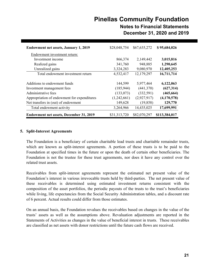| <b>Endowment net assets, January 1, 2019</b> | \$28,048,754 | \$67,635,272 | \$95,684,026  |
|----------------------------------------------|--------------|--------------|---------------|
| Endowment investment return:                 |              |              |               |
| Investment income                            | 866,374      | 2,149,442    | 3,015,816     |
| Realized gains                               | 341,760      | 948,885      | 1,290,645     |
| Unrealized gains                             | 3,324,283    | 9,080,970    | 12,405,253    |
| Total endowment investment return            | 4,532,417    | 12,179,297   | 16,711,714    |
| Additions to endowment funds                 | 144,599      | 5,977,464    | 6,122,063     |
| Investment management fees                   | (185, 944)   | (441,370)    | (627,314)     |
| Administrative fees                          | (133,073)    | (332,591)    | (465, 664)    |
| Appropriation of endowment for expenditures  | (1,242,661)  | (2,927,917)  | (4,170,578)   |
| Net transfers in (out) of endowment          | 149,628      | (19, 858)    | 129,770       |
| Total endowment activity                     | 3,264,966    | 14,435,025   | 17,699,991    |
| Endowment net assets, December 31, 2019      | \$31,313,720 | \$82,070,297 | \$113,384,017 |

#### **5. Split-Interest Agreements**

The Foundation is a beneficiary of certain charitable lead trusts and charitable remainder trusts, which are known as split-interest agreements. A portion of these trusts is to be paid to the Foundation at specified times in the future or upon the death of certain other beneficiaries. The Foundation is not the trustee for these trust agreements, nor does it have any control over the related trust assets.

Receivables from split-interest agreements represent the estimated net present value of the Foundation's interest in various irrevocable trusts held by third-parties. The net present value of these receivables is determined using estimated investment returns consistent with the composition of the asset portfolios, the periodic payouts of the trusts to the trust's beneficiaries while living, life expectancies from the Social Security Administration tables, and a discount rate of 6 percent. Actual results could differ from those estimates.

On an annual basis, the Foundation revalues the receivables based on changes in the value of the trusts' assets as well as the assumptions above. Revaluation adjustments are reported in the Statements of Activities as changes in the value of beneficial interest in trusts. These receivables are classified as net assets with donor restrictions until the future cash flows are received.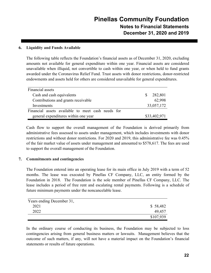#### **6. Liquidity and Funds Available**

The following table reflects the Foundation's financial assets as of December 31, 2020, excluding amounts not available for general expenditure within one year. Financial assets are considered unavailable when illiquid, not convertible to cash within one year, or when held to fund grants awarded under the Coronavirus Relief Fund. Trust assets with donor restrictions, donor-restricted endowments and assets held for others are considered unavailable for general expenditures.

| Financial assets                                  |              |
|---------------------------------------------------|--------------|
| Cash and cash equivalents                         | 282,801      |
| Contributions and grants receivable               | 62,998       |
| Investments                                       | 33,057,172   |
| Financial assets available to meet cash needs for |              |
| general expenditures within one year              | \$33,402,971 |

Cash flow to support the overall management of the Foundation is derived primarily from administrative fees assessed to assets under management, which includes investments with donor restrictions and without donor restrictions. For 2020 and 2019, this administrative fee was 0.45% of the fair market value of assets under management and amounted to \$578,617. The fees are used to support the overall management of the Foundation.

#### **7. Commitments and contingencies**

The Foundation entered into an operating lease for its main office in July 2019 with a term of 52 months. The lease was executed by Pinellas CF Company, LLC, an entity formed by the Foundation in 2018. The Foundation is the sole member of Pinellas CF Company, LLC. The lease includes a period of free rent and escalating rental payments. Following is a schedule of future minimum payments under the noncancelable lease.

| Years ending December 31, |           |
|---------------------------|-----------|
| 2021                      | \$58,482  |
| 2022                      | 49,457    |
|                           | \$107,939 |

In the ordinary course of conducting its business, the Foundation may be subjected to loss contingencies arising from general business matters or lawsuits. Management believes that the outcome of such matters, if any, will not have a material impact on the Foundation's financial statements or results of future operations.